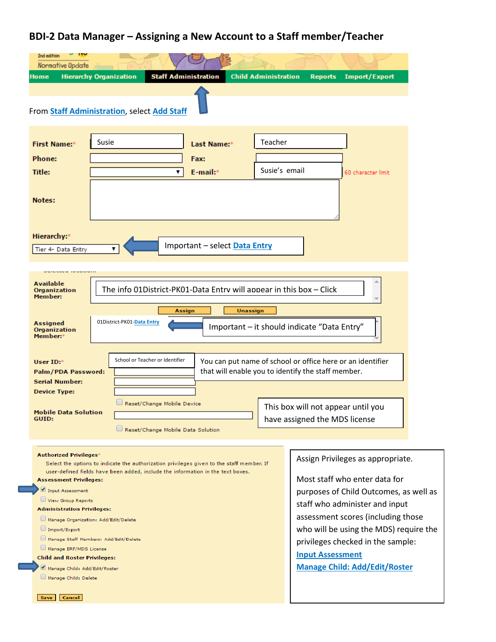## **BDI-2 Data Manager – Assigning a New Account to a Staff member/Teacher**

| $\mathbf{u}$<br>2nd edition<br>Normative Update       |                                                                                                                                                                              |                                                                                                                  |  |  |  |  |
|-------------------------------------------------------|------------------------------------------------------------------------------------------------------------------------------------------------------------------------------|------------------------------------------------------------------------------------------------------------------|--|--|--|--|
| Home                                                  | <b>Hierarchy Organization</b><br><b>Staff Administration</b>                                                                                                                 | <b>Child Administration</b><br><b>Import/Export</b><br><b>Reports</b>                                            |  |  |  |  |
|                                                       |                                                                                                                                                                              |                                                                                                                  |  |  |  |  |
|                                                       | From Staff Administration, select Add Staff                                                                                                                                  |                                                                                                                  |  |  |  |  |
|                                                       |                                                                                                                                                                              |                                                                                                                  |  |  |  |  |
| <b>First Name:*</b>                                   | Susie<br>Last Name:*                                                                                                                                                         | Teacher                                                                                                          |  |  |  |  |
| <b>Phone:</b>                                         | Fax:                                                                                                                                                                         | Susie's email                                                                                                    |  |  |  |  |
| Title:                                                | E-mail:*<br>▼                                                                                                                                                                | 60 character limit                                                                                               |  |  |  |  |
| Notes:                                                |                                                                                                                                                                              |                                                                                                                  |  |  |  |  |
|                                                       |                                                                                                                                                                              |                                                                                                                  |  |  |  |  |
|                                                       |                                                                                                                                                                              |                                                                                                                  |  |  |  |  |
| Hierarchy:*                                           |                                                                                                                                                                              |                                                                                                                  |  |  |  |  |
| Tier 4- Data Entry                                    | Important - select Data Entry                                                                                                                                                |                                                                                                                  |  |  |  |  |
|                                                       |                                                                                                                                                                              |                                                                                                                  |  |  |  |  |
| <b>Available</b>                                      |                                                                                                                                                                              |                                                                                                                  |  |  |  |  |
| Organization<br>Member:                               | The info 01District-PK01-Data Entry will appear in this box - Click                                                                                                          |                                                                                                                  |  |  |  |  |
|                                                       | Unassign<br>Assign                                                                                                                                                           |                                                                                                                  |  |  |  |  |
| <b>Assigned</b><br>Organization                       | 01District-PK01-Data Entry<br>Important - it should indicate "Data Entry"                                                                                                    |                                                                                                                  |  |  |  |  |
| Member:*                                              |                                                                                                                                                                              |                                                                                                                  |  |  |  |  |
|                                                       | School or Teacher or Identifier                                                                                                                                              |                                                                                                                  |  |  |  |  |
| User ID:*<br>Palm/PDA Password:                       |                                                                                                                                                                              | You can put name of school or office here or an identifier<br>that will enable you to identify the staff member. |  |  |  |  |
| <b>Serial Number:</b>                                 |                                                                                                                                                                              |                                                                                                                  |  |  |  |  |
| <b>Device Type:</b>                                   |                                                                                                                                                                              |                                                                                                                  |  |  |  |  |
| Mobile Data Solution                                  | Reset/Change Mobile Device                                                                                                                                                   | This box will not appear until you                                                                               |  |  |  |  |
| GUID:                                                 | Reset/Change Mobile Data Solution                                                                                                                                            | have assigned the MDS license                                                                                    |  |  |  |  |
|                                                       |                                                                                                                                                                              |                                                                                                                  |  |  |  |  |
| <b>Authorized Privileges*</b>                         |                                                                                                                                                                              | Assign Privileges as appropriate.                                                                                |  |  |  |  |
|                                                       | Select the options to indicate the authorization privileges given to the staff member. If<br>user-defined fields have been added, include the information in the text boxes. |                                                                                                                  |  |  |  |  |
| <b>Assessment Privileges:</b>                         |                                                                                                                                                                              | Most staff who enter data for                                                                                    |  |  |  |  |
| Input Assessment<br>View Group Reports                |                                                                                                                                                                              | purposes of Child Outcomes, as well as                                                                           |  |  |  |  |
| <b>Administration Privileges:</b>                     |                                                                                                                                                                              | staff who administer and input                                                                                   |  |  |  |  |
|                                                       | Manage Organization: Add/Edit/Delete                                                                                                                                         | assessment scores (including those                                                                               |  |  |  |  |
| Import/Export                                         | Manage Staff Members: Add/Edit/Delete                                                                                                                                        | who will be using the MDS) require the                                                                           |  |  |  |  |
| Manage ERF/MDS License                                |                                                                                                                                                                              | privileges checked in the sample:                                                                                |  |  |  |  |
| <b>Child and Roster Privileges:</b>                   |                                                                                                                                                                              | <b>Input Assessment</b>                                                                                          |  |  |  |  |
| Manage Child: Add/Edit/Roster<br>Manage Child: Delete |                                                                                                                                                                              | <b>Manage Child: Add/Edit/Roster</b>                                                                             |  |  |  |  |
|                                                       |                                                                                                                                                                              |                                                                                                                  |  |  |  |  |
| Cancel<br>Save                                        |                                                                                                                                                                              |                                                                                                                  |  |  |  |  |